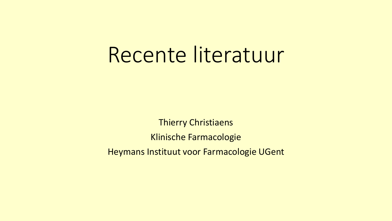# Recente literatuur

Thierry Christiaens Klinische Farmacologie Heymans Instituut voor Farmacologie UGent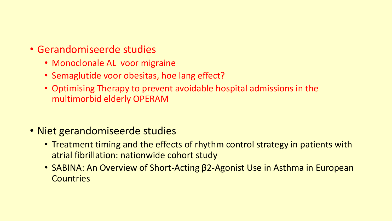- Gerandomiseerde studies
	- Monoclonale AL voor migraine
	- Semaglutide voor obesitas, hoe lang effect?
	- Optimising Therapy to prevent avoidable hospital admissions in the multimorbid elderly OPERAM
- Niet gerandomiseerde studies
	- Treatment timing and the effects of rhythm control strategy in patients with atrial fibrillation: nationwide cohort study
	- SABINA: An Overview of Short-Acting β2-Agonist Use in Asthma in European **Countries**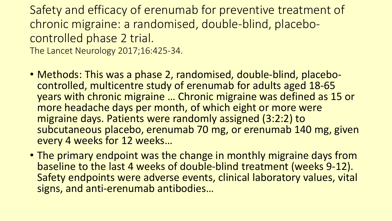Safety and efficacy of erenumab for preventive treatment of chronic migraine: a randomised, double-blind, placebocontrolled phase 2 trial. The Lancet Neurology 2017;16:425-34.

- Methods: This was a phase 2, randomised, double-blind, placebocontrolled, multicentre study of erenumab for adults aged 18-65 years with chronic migraine … Chronic migraine was defined as 15 or more headache days per month, of which eight or more were migraine days. Patients were randomly assigned (3:2:2) to subcutaneous placebo, erenumab 70 mg, or erenumab 140 mg, given every 4 weeks for 12 weeks…
- The primary endpoint was the change in monthly migraine days from baseline to the last 4 weeks of double-blind treatment (weeks 9-12). Safety endpoints were adverse events, clinical laboratory values, vital signs, and anti-erenumab antibodies…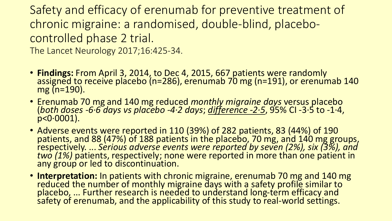Safety and efficacy of erenumab for preventive treatment of chronic migraine: a randomised, double-blind, placebocontrolled phase 2 trial. The Lancet Neurology 2017;16:425-34.

- **Findings:** From April 3, 2014, to Dec 4, 2015, 667 patients were randomly assigned to receive placebo (n=286), erenumab 70 mg (n=191), or erenumab 140 mg (n=190).
- Erenumab 70 mg and 140 mg reduced *monthly migraine days* versus placebo (*both doses -6·6 days vs placebo -4·2 days*; *difference -2·5*, 95% CI -3·5 to -1·4,  $p < 0.0001$ ).
- Adverse events were reported in 110 (39%) of 282 patients, 83 (44%) of 190 patients, and 88 (47%) of 188 patients in the placebo, 70 mg, and 140 mg groups, respectively. ... *Serious adverse events were reported by seven (2%), six (3%), and two (1%)* patients, respectively; none were reported in more than one patient in any group or led to discontinuation.
- **Interpretation:** In patients with chronic migraine, erenumab 70 mg and 140 mg reduced the number of monthly migraine days with a safety profile similar to placebo, ... Further research is needed to understand long-term efficacy and safety of erenumab, and the applicability of this study to real-world settings.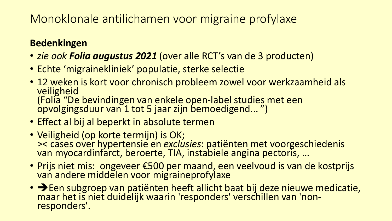### Monoklonale antilichamen voor migraine profylaxe

#### **Bedenkingen**

- *zie ook Folia augustus 2021* (over alle RCT's van de 3 producten)
- Echte 'migrainekliniek' populatie, sterke selectie
- 12 weken is kort voor chronisch probleem zowel voor werkzaamheid als veiligheid (Folia "De bevindingen van enkele open-label studies met een opvolgingsduur van 1 tot 5 jaar zijn bemoedigend... ")
- Effect al bij al beperkt in absolute termen
- Veiligheid (op korte termijn) is OK; >< cases over hypertensie en *exclusies*: patiënten met voorgeschiedenis van myocardinfarct, beroerte, TIA, instabiele angina pectoris, …
- Prijs niet mis: ongeveer €500 per maand, een veelvoud is van de kostprijs van andere middelen voor migraineprofylaxe
- → Een subgroep van patiënten heeft allicht baat bij deze nieuwe medicatie, maar het is niet duidelijk waarin 'responders' verschillen van 'nonresponders'.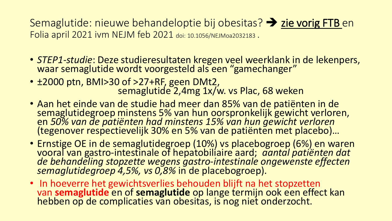Semaglutide: nieuwe behandeloptie bij obesitas? ➔ zie vorig FTB en Folia april 2021 ivm NEJM feb 2021 doi: 10.1056/NEJMoa2032183 .

- *STEP1-studie*: Deze studieresultaten kregen veel weerklank in de lekenpers, waar semaglutide wordt voorgesteld als een "gamechanger"
- ±2000 ptn, BMI>30 of >27+RF, geen DMt2, semaglutide 2,4mg 1x/w. vs Plac, 68 weken
- Aan het einde van de studie had meer dan 85% van de patiënten in de semaglutidegroep minstens 5% van hun oorspronkelijk gewicht verloren, en *50% van de patiënten had minstens 15% van hun gewicht verloren*  (tegenover respectievelijk 30% en 5% van de patiënten met placebo)...
- Ernstige OE in de semaglutidegroep (10%) vs placebogroep (6%) en waren vooral van gastro-intestinale of hepatobiliaire aard; *aantal patiënten dat de behandeling stopzette wegens gastro-intestinale ongewenste effecten semaglutidegroep 4,5%, vs 0,8%* in de placebogroep).
- In hoeverre het gewichtsverlies behouden blijft na het stopzetten van **semaglutide** en of **semaglutide** op lange termijn ook een effect kan hebben op de complicaties van obesitas, is nog niet onderzocht.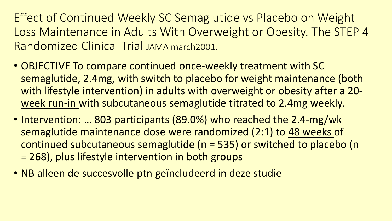Effect of Continued Weekly SC Semaglutide vs Placebo on Weight Loss Maintenance in Adults With Overweight or Obesity. The STEP 4 Randomized Clinical Trial JAMA march2001.

- OBJECTIVE To compare continued once-weekly treatment with SC semaglutide, 2.4mg, with switch to placebo for weight maintenance (both with lifestyle intervention) in adults with overweight or obesity after a 20 week run-in with subcutaneous semaglutide titrated to 2.4mg weekly.
- Intervention: ... 803 participants (89.0%) who reached the 2.4-mg/wk semaglutide maintenance dose were randomized (2:1) to 48 weeks of continued subcutaneous semaglutide (n = 535) or switched to placebo (n = 268), plus lifestyle intervention in both groups
- NB alleen de succesvolle ptn geïncludeerd in deze studie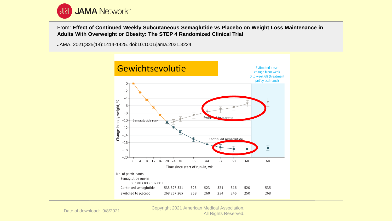

From: **Effect of Continued Weekly Subcutaneous Semaglutide vs Placebo on Weight Loss Maintenance in Adults With Overweight or Obesity: The STEP 4 Randomized Clinical Trial**

JAMA. 2021;325(14):1414-1425. doi:10.1001/jama.2021.3224



Date of download: 9/8/2021 Copyright 2021 American Medical Association. All Rights Reserved.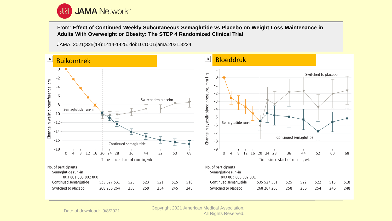

From: **Effect of Continued Weekly Subcutaneous Semaglutide vs Placebo on Weight Loss Maintenance in Adults With Overweight or Obesity: The STEP 4 Randomized Clinical Trial**

JAMA. 2021;325(14):1414-1425. doi:10.1001/jama.2021.3224



Date of download: 9/8/2021 Copyright 2021 American Medical Association. All Rights Reserved.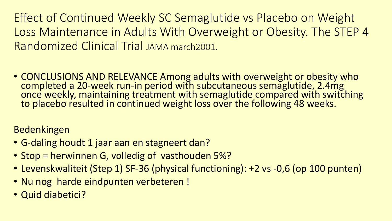Effect of Continued Weekly SC Semaglutide vs Placebo on Weight Loss Maintenance in Adults With Overweight or Obesity. The STEP 4 Randomized Clinical Trial JAMA march2001.

• CONCLUSIONS AND RELEVANCE Among adults with overweight or obesity who completed a 20-week run-in period with subcutaneous semaglutide, 2.4mg once weekly, maintaining treatment with semaglutide compared with switching to placebo resulted in continued weight loss over the following 48 weeks.

Bedenkingen

- G-daling houdt 1 jaar aan en stagneert dan?
- Stop = herwinnen G, volledig of vasthouden 5%?
- Levenskwaliteit (Step 1) SF-36 (physical functioning): +2 vs -0,6 (op 100 punten)
- Nu nog harde eindpunten verbeteren !
- Quid diabetici?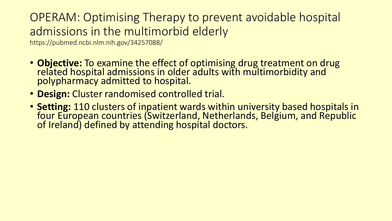### OPERAM: Optimising Therapy to prevent avoidable hospital admissions in the multimorbid elderly

https://pubmed.ncbi.nlm.nih.gov/34257088/

- **Objective:** To examine the effect of optimising drug treatment on drug related hospital admissions in older adults with multimorbidity and polypharmacy admitted to hospital.
- **Design:** Cluster randomised controlled trial.
- **Setting:** 110 clusters of inpatient wards within university based hospitals in four European countries (Switzerland, Netherlands, Belgium, and Republic of Ireland) defined by attending hospital doctors.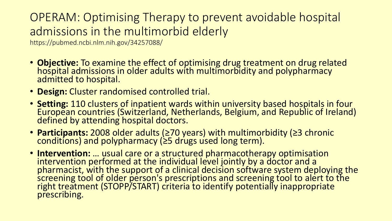### OPERAM: Optimising Therapy to prevent avoidable hospital admissions in the multimorbid elderly

https://pubmed.ncbi.nlm.nih.gov/34257088/

- **Objective:** To examine the effect of optimising drug treatment on drug related hospital admissions in older adults with multimorbidity and polypharmacy admitted to hospital.
- **Design:** Cluster randomised controlled trial.
- **Setting:** 110 clusters of inpatient wards within university based hospitals in four European countries (Switzerland, Netherlands, Belgium, and Republic of Ireland) defined by attending hospital doctors.
- **Participants:** 2008 older adults (≥70 years) with multimorbidity (≥3 chronic conditions) and polypharmacy (≥5 drugs used long term).
- **Intervention:** … usual care or a structured pharmacotherapy optimisation intervention performed at the individual level jointly by a doctor and a pharmacist, with the support of a clinical decision software system deploying the screening tool of older person's prescriptions and screening tool to alert to the right treatment (STOPP/START) criteria to identify potentially inappropriate prescribing.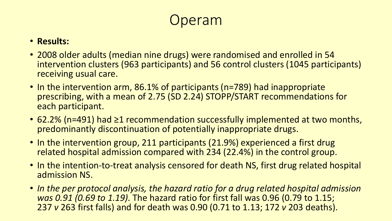## peram

#### • **Results:**

- 2008 older adults (median nine drugs) were randomised and enrolled in 54 intervention clusters (963 participants) and 56 control clusters (1045 participants) receiving usual care.
- In the intervention arm, 86.1% of participants (n=789) had inappropriate prescribing, with a mean of 2.75 (SD 2.24) STOPP/START recommendations for each participant.
- 62.2% (n=491) had ≥1 recommendation successfully implemented at two months, predominantly discontinuation of potentially inappropriate drugs.
- In the intervention group, 211 participants (21.9%) experienced a first drug related hospital admission compared with 234 (22.4%) in the control group.
- In the intention-to-treat analysis censored for death NS, first drug related hospital admission NS.
- *In the per protocol analysis, the hazard ratio for a drug related hospital admission was 0.91 (0.69 to 1.19).* The hazard ratio for first fall was 0.96 (0.79 to 1.15; 237 *v* 263 first falls) and for death was 0.90 (0.71 to 1.13; 172 *v* 203 deaths).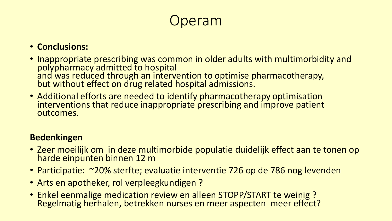## peram

#### • **Conclusions:**

- Inappropriate prescribing was common in older adults with multimorbidity and polypharmacy admitted to hospital and was reduced through an intervention to optimise pharmacotherapy, but without effect on drug related hospital admissions.
- Additional efforts are needed to identify pharmacotherapy optimisation interventions that reduce inappropriate prescribing and improve patient outcomes.

#### **Bedenkingen**

- Zeer moeilijk om in deze multimorbide populatie duidelijk effect aan te tonen op harde einpunten binnen 12 m
- Participatie: ~20% sterfte; evaluatie interventie 726 op de 786 nog levenden
- Arts en apotheker, rol verpleegkundigen ?
- Enkel eenmalige medication review en alleen STOPP/START te weinig ? Regelmatig herhalen, betrekken nurses en meer aspecten meer effect?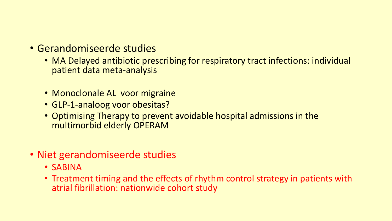- Gerandomiseerde studies
	- MA Delayed antibiotic prescribing for respiratory tract infections: individual patient data meta-analysis
	- Monoclonale AL voor migraine
	- GLP-1-analoog voor obesitas?
	- Optimising Therapy to prevent avoidable hospital admissions in the multimorbid elderly OPERAM
- Niet gerandomiseerde studies
	- SABINA
	- Treatment timing and the effects of rhythm control strategy in patients with atrial fibrillation: nationwide cohort study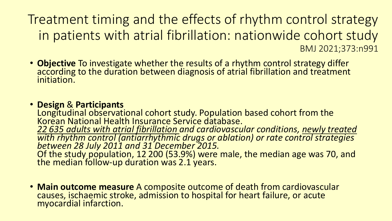Treatment timing and the effects of rhythm control strategy in patients with atrial fibrillation: nationwide cohort study BMJ 2021;373:n991

• **Objective** To investigate whether the results of a rhythm control strategy differ according to the duration between diagnosis of atrial fibrillation and treatment initiation.

#### • **Design** & **Participants**

Longitudinal observational cohort study. Population based cohort from the Korean National Health Insurance Service database. *22 635 adults with atrial fibrillation and cardiovascular conditions, newly treated with rhythm control (antiarrhythmic drugs or ablation) or rate control strategies between 28 July 2011 and 31 December 2015.*  Of the study population, 12 200 (53.9%) were male, the median age was 70, and the median follow-up duration was 2.1 years.

• **Main outcome measure** A composite outcome of death from cardiovascular causes, ischaemic stroke, admission to hospital for heart failure, or acute myocardial infarction.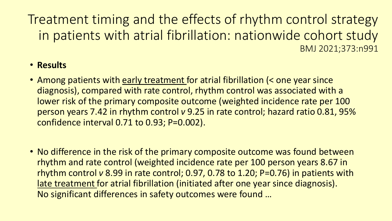Treatment timing and the effects of rhythm control strategy in patients with atrial fibrillation: nationwide cohort study BMJ 2021;373:n991

#### • **Results**

- Among patients with early treatment for atrial fibrillation (< one year since diagnosis), compared with rate control, rhythm control was associated with a lower risk of the primary composite outcome (weighted incidence rate per 100 person years 7.42 in rhythm control *v* 9.25 in rate control; hazard ratio 0.81, 95% confidence interval 0.71 to 0.93; P=0.002).
- No difference in the risk of the primary composite outcome was found between rhythm and rate control (weighted incidence rate per 100 person years 8.67 in rhythm control *v* 8.99 in rate control; 0.97, 0.78 to 1.20; P=0.76) in patients with late treatment for atrial fibrillation (initiated after one year since diagnosis). No significant differences in safety outcomes were found …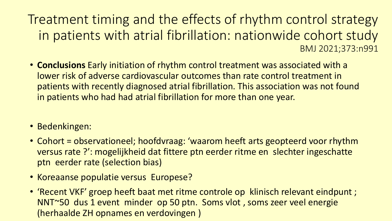Treatment timing and the effects of rhythm control strategy in patients with atrial fibrillation: nationwide cohort study BMJ 2021;373:n991

- **Conclusions** Early initiation of rhythm control treatment was associated with a lower risk of adverse cardiovascular outcomes than rate control treatment in patients with recently diagnosed atrial fibrillation. This association was not found in patients who had had atrial fibrillation for more than one year.
- Bedenkingen:
- Cohort = observationeel; hoofdvraag: 'waarom heeft arts geopteerd voor rhythm versus rate ?': mogelijkheid dat fittere ptn eerder ritme en slechter ingeschatte ptn eerder rate (selection bias)
- Koreaanse populatie versus Europese?
- 'Recent VKF' groep heeft baat met ritme controle op klinisch relevant eindpunt ; NNT~50 dus 1 event minder op 50 ptn. Soms vlot , soms zeer veel energie (herhaalde ZH opnames en verdovingen )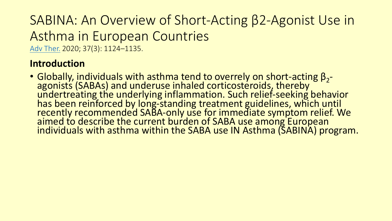### SABINA: An Overview of Short-Acting β2-Agonist Use in Asthma in European Countries [Adv Ther.](https://www.ncbi.nlm.nih.gov/pmc/articles/PMC7089727/) 2020; 37(3): 1124–1135.

**Introduction**

• Globally, individuals with asthma tend to overrely on short-acting  $\beta_2$ agonists (SABAs) and underuse inhaled corticosteroids, thereby undertreating the underlying inflammation. Such relief-seeking behavior has been reinforced by long-standing treatment guidelines, which until recently recommended SABA-only use for immediate symptom relief. We aimed to describe the current burden of SABA use among European individuals with asthma within the SABA use IN Asthma (SABINA) program.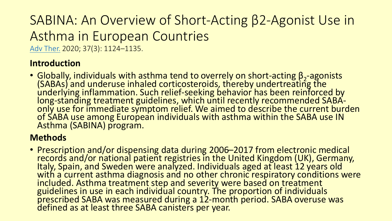## SABINA: An Overview of Short-Acting β2-Agonist Use in Asthma in European Countries

[Adv Ther.](https://www.ncbi.nlm.nih.gov/pmc/articles/PMC7089727/) 2020; 37(3): 1124–1135.

#### **Introduction**

• Globally, individuals with asthma tend to overrely on short-acting  $β_2$ -agonists (SABAs) and underuse inhaled corticosteroids, thereby undertreating the underlying inflammation. Such relief-seeking behavior has been reinforced by long-standing treatment guidelines, which until recently recommended SABAonly use for immediate symptom relief. We aimed to describe the current burden of SABA use among European individuals with asthma within the SABA use IN Asthma (SABINA) program.

#### **Methods**

• Prescription and/or dispensing data during 2006–2017 from electronic medical records and/or national patient registries in the United Kingdom (UK), Germany, Italy, Spain, and Sweden were analyzed. Individuals aged at least 12 years old with a current asthma diagnosis and no other chronic respiratory conditions were included. Asthma treatment step and severity were based on treatment guidelines in use in each individual country. The proportion of individuals prescribed SABA was measured during a 12-month period. SABA overuse was defined as at least three SABA canisters per year.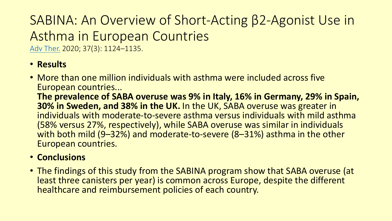## SABINA: An Overview of Short-Acting β2-Agonist Use in Asthma in European Countries

[Adv Ther.](https://www.ncbi.nlm.nih.gov/pmc/articles/PMC7089727/) 2020; 37(3): 1124–1135.

#### • **Results**

• More than one million individuals with asthma were included across five European countries...

**The prevalence of SABA overuse was 9% in Italy, 16% in Germany, 29% in Spain, 30% in Sweden, and 38% in the UK.** In the UK, SABA overuse was greater in individuals with moderate-to-severe asthma versus individuals with mild asthma (58% versus 27%, respectively), while SABA overuse was similar in individuals with both mild (9–32%) and moderate-to-severe (8–31%) asthma in the other European countries.

#### • **Conclusions**

• The findings of this study from the SABINA program show that SABA overuse (at least three canisters per year) is common across Europe, despite the different healthcare and reimbursement policies of each country.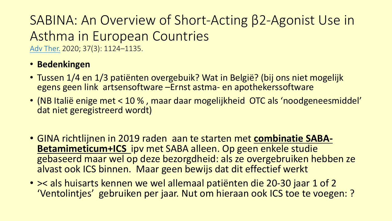## SABINA: An Overview of Short-Acting β2-Agonist Use in Asthma in European Countries

[Adv Ther.](https://www.ncbi.nlm.nih.gov/pmc/articles/PMC7089727/) 2020; 37(3): 1124–1135.

#### • **Bedenkingen**

- Tussen 1/4 en 1/3 patiënten overgebuik? Wat in België? (bij ons niet mogelijk egens geen link artsensoftware –Ernst astma- en apothekerssoftware
- (NB Italië enige met < 10 % , maar daar mogelijkheid OTC als 'noodgeneesmiddel' dat niet geregistreerd wordt)
- GINA richtlijnen in 2019 raden aan te starten met **combinatie SABA-Betamimeticum+ICS** ipv met SABA alleen. Op geen enkele studie gebaseerd maar wel op deze bezorgdheid: als ze overgebruiken hebben ze alvast ook ICS binnen. Maar geen bewijs dat dit effectief werkt
- >< als huisarts kennen we wel allemaal patiënten die 20-30 jaar 1 of 2 'Ventolintjes' gebruiken per jaar. Nut om hieraan ook ICS toe te voegen: ?